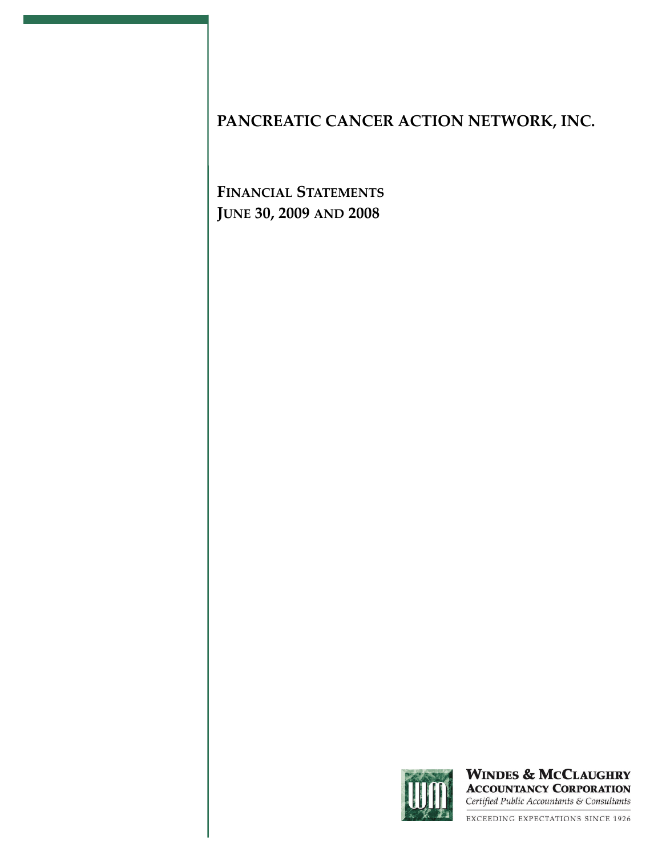**FINANCIAL STATEMENTS JUNE 30, 2009 AND 2008**



**WINDES & MCCLAUGHRY ACCOUNTANCY CORPORATION** Certified Public Accountants & Consultants

EXCEEDING EXPECTATIONS SINCE 1926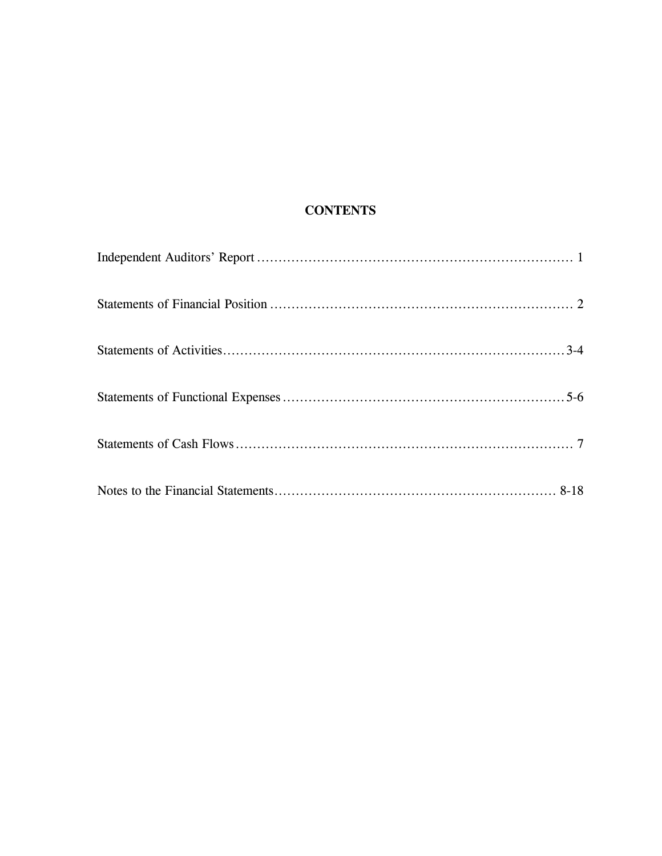# **CONTENTS**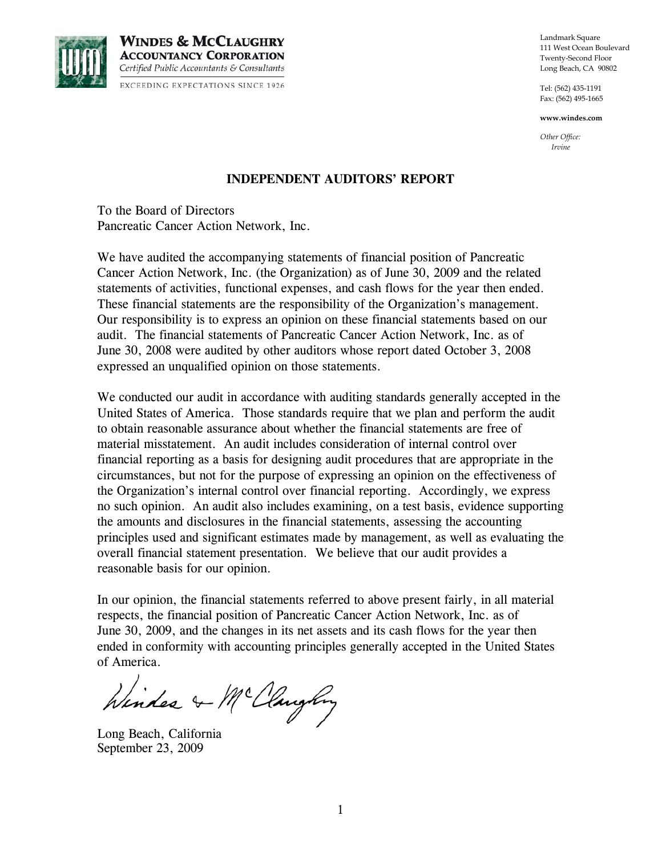

**WINDES & MCCLAUGHRY ACCOUNTANCY CORPORATION** Certified Public Accountants & Consultants **EXCEEDING EXPECTATIONS SINCE 1926** 

Landmark Square 111 West Ocean Boulevard Twenty-Second Floor Long Beach, CA 90802

Tel: (562) 435-1191 Fax: (562) 495-1665

**www.windes.com** 

*Other Office: Irvine* 

#### **INDEPENDENT AUDITORS' REPORT**

To the Board of Directors Pancreatic Cancer Action Network, Inc.

We have audited the accompanying statements of financial position of Pancreatic Cancer Action Network, Inc. (the Organization) as of June 30, 2009 and the related statements of activities, functional expenses, and cash flows for the year then ended. These financial statements are the responsibility of the Organization's management. Our responsibility is to express an opinion on these financial statements based on our audit. The financial statements of Pancreatic Cancer Action Network, Inc. as of June 30, 2008 were audited by other auditors whose report dated October 3, 2008 expressed an unqualified opinion on those statements.

We conducted our audit in accordance with auditing standards generally accepted in the United States of America. Those standards require that we plan and perform the audit to obtain reasonable assurance about whether the financial statements are free of material misstatement. An audit includes consideration of internal control over financial reporting as a basis for designing audit procedures that are appropriate in the circumstances, but not for the purpose of expressing an opinion on the effectiveness of the Organization's internal control over financial reporting. Accordingly, we express no such opinion. An audit also includes examining, on a test basis, evidence supporting the amounts and disclosures in the financial statements, assessing the accounting principles used and significant estimates made by management, as well as evaluating the overall financial statement presentation. We believe that our audit provides a reasonable basis for our opinion.

In our opinion, the financial statements referred to above present fairly, in all material respects, the financial position of Pancreatic Cancer Action Network, Inc. as of June 30, 2009, and the changes in its net assets and its cash flows for the year then ended in conformity with accounting principles generally accepted in the United States of America.

Winder & McClaughny

Long Beach, California September 23, 2009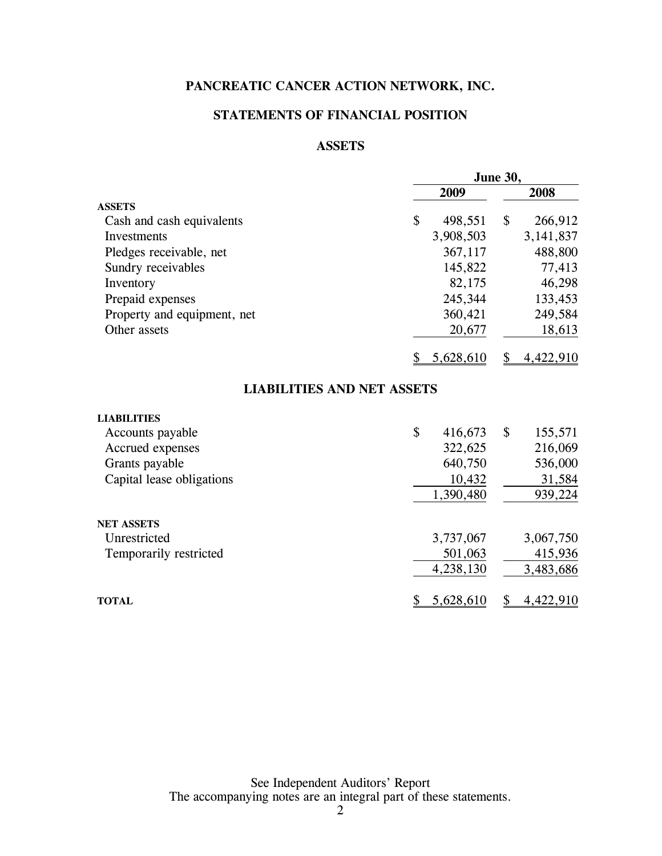### **STATEMENTS OF FINANCIAL POSITION**

### **ASSETS**

|                             |                                   | <b>June 30,</b> |
|-----------------------------|-----------------------------------|-----------------|
|                             | 2009                              | 2008            |
| <b>ASSETS</b>               |                                   |                 |
| Cash and cash equivalents   | \$<br>498,551                     | \$<br>266,912   |
| Investments                 | 3,908,503                         | 3, 141, 837     |
| Pledges receivable, net     | 367,117                           | 488,800         |
| Sundry receivables          | 145,822                           | 77,413          |
| Inventory                   | 82,175                            | 46,298          |
| Prepaid expenses            | 245,344                           | 133,453         |
| Property and equipment, net | 360,421                           | 249,584         |
| Other assets                | 20,677                            | 18,613          |
|                             | 5,628,610                         | 4,422,910<br>\$ |
|                             | <b>LIABILITIES AND NET ASSETS</b> |                 |
| <b>LIABILITIES</b>          |                                   |                 |
| Accounts payable            | \$<br>416,673                     | \$<br>155,571   |
| Accrued expenses            | 322,625                           | 216,069         |
| Grants payable              | 640,750                           | 536,000         |
| Capital lease obligations   | 10,432                            | 31,584          |
|                             | 1,390,480                         | 939,224         |
| <b>NET ASSETS</b>           |                                   |                 |
| Unrestricted                | 3,737,067                         | 3,067,750       |
| Temporarily restricted      | 501,063                           | 415,936         |
|                             | 4,238,130                         | 3,483,686       |
| <b>TOTAL</b>                | 5,628,610<br>\$                   | 4,422,910<br>\$ |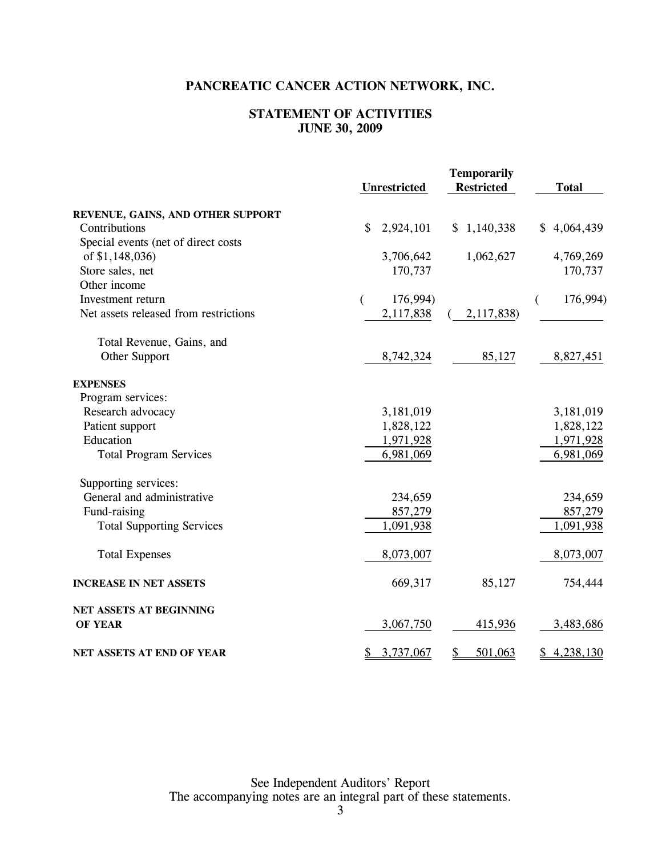### **STATEMENT OF ACTIVITIES JUNE 30, 2009**

|                                       | <b>Unrestricted</b> | <b>Temporarily</b><br><b>Restricted</b> | <b>Total</b>  |
|---------------------------------------|---------------------|-----------------------------------------|---------------|
| REVENUE, GAINS, AND OTHER SUPPORT     |                     |                                         |               |
| Contributions                         | \$<br>2,924,101     | \$1,140,338                             | \$4,064,439   |
| Special events (net of direct costs   |                     |                                         |               |
| of \$1,148,036)                       | 3,706,642           | 1,062,627                               | 4,769,269     |
| Store sales, net                      | 170,737             |                                         | 170,737       |
| Other income                          |                     |                                         |               |
| Investment return                     | 176,994)<br>€       |                                         | 176,994)<br>€ |
| Net assets released from restrictions | 2,117,838           | 2,117,838)                              |               |
| Total Revenue, Gains, and             |                     |                                         |               |
| Other Support                         | 8,742,324           | 85,127                                  | 8,827,451     |
| <b>EXPENSES</b>                       |                     |                                         |               |
| Program services:                     |                     |                                         |               |
| Research advocacy                     | 3,181,019           |                                         | 3,181,019     |
| Patient support                       | 1,828,122           |                                         | 1,828,122     |
| Education                             | 1,971,928           |                                         | 1,971,928     |
| <b>Total Program Services</b>         | 6,981,069           |                                         | 6,981,069     |
| Supporting services:                  |                     |                                         |               |
| General and administrative            | 234,659             |                                         | 234,659       |
| Fund-raising                          | 857,279             |                                         | 857,279       |
| <b>Total Supporting Services</b>      | 1,091,938           |                                         | 1,091,938     |
| <b>Total Expenses</b>                 | 8,073,007           |                                         | 8,073,007     |
| <b>INCREASE IN NET ASSETS</b>         | 669,317             | 85,127                                  | 754,444       |
| NET ASSETS AT BEGINNING               |                     |                                         |               |
| <b>OF YEAR</b>                        | 3,067,750           | 415,936                                 | 3,483,686     |
| NET ASSETS AT END OF YEAR             | 3,737,067<br>\$     | \$<br>501,063                           | \$4,238,130   |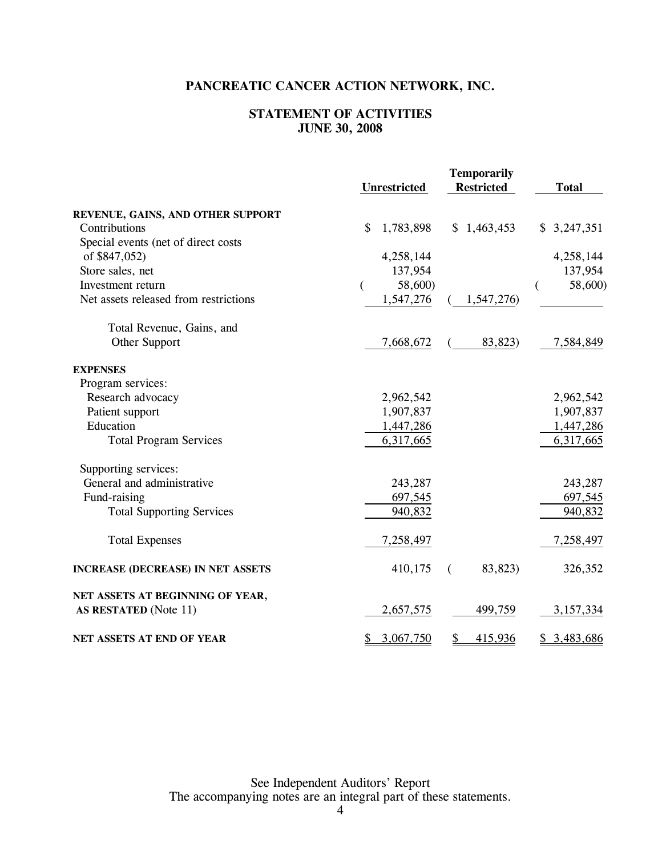### **STATEMENT OF ACTIVITIES JUNE 30, 2008**

|                                          | <b>Unrestricted</b>       | <b>Temporarily</b><br><b>Restricted</b> | <b>Total</b> |
|------------------------------------------|---------------------------|-----------------------------------------|--------------|
| REVENUE, GAINS, AND OTHER SUPPORT        |                           |                                         |              |
| Contributions                            | \$<br>1,783,898           | \$1,463,453                             | \$3,247,351  |
| Special events (net of direct costs      |                           |                                         |              |
| of \$847,052)                            | 4,258,144                 |                                         | 4,258,144    |
| Store sales, net                         | 137,954                   |                                         | 137,954      |
| Investment return                        | 58,600)<br>$\overline{(}$ |                                         | 58,600)<br>€ |
| Net assets released from restrictions    | 1,547,276                 | 1,547,276)                              |              |
| Total Revenue, Gains, and                |                           |                                         |              |
| Other Support                            | 7,668,672                 | 83,823)                                 | 7,584,849    |
| <b>EXPENSES</b>                          |                           |                                         |              |
| Program services:                        |                           |                                         |              |
| Research advocacy                        | 2,962,542                 |                                         | 2,962,542    |
| Patient support                          | 1,907,837                 |                                         | 1,907,837    |
| Education                                | 1,447,286                 |                                         | 1,447,286    |
| <b>Total Program Services</b>            | 6,317,665                 |                                         | 6,317,665    |
| Supporting services:                     |                           |                                         |              |
| General and administrative               | 243,287                   |                                         | 243,287      |
| Fund-raising                             | 697,545                   |                                         | 697,545      |
| <b>Total Supporting Services</b>         | 940,832                   |                                         | 940,832      |
| <b>Total Expenses</b>                    | 7,258,497                 |                                         | 7,258,497    |
| <b>INCREASE (DECREASE) IN NET ASSETS</b> | 410,175                   | 83,823)<br>(                            | 326,352      |
| NET ASSETS AT BEGINNING OF YEAR,         |                           |                                         |              |
| AS RESTATED (Note 11)                    | 2,657,575                 | 499,759                                 | 3,157,334    |
| NET ASSETS AT END OF YEAR                | 3,067,750<br>\$           | 415,936<br>\$                           | \$3,483,686  |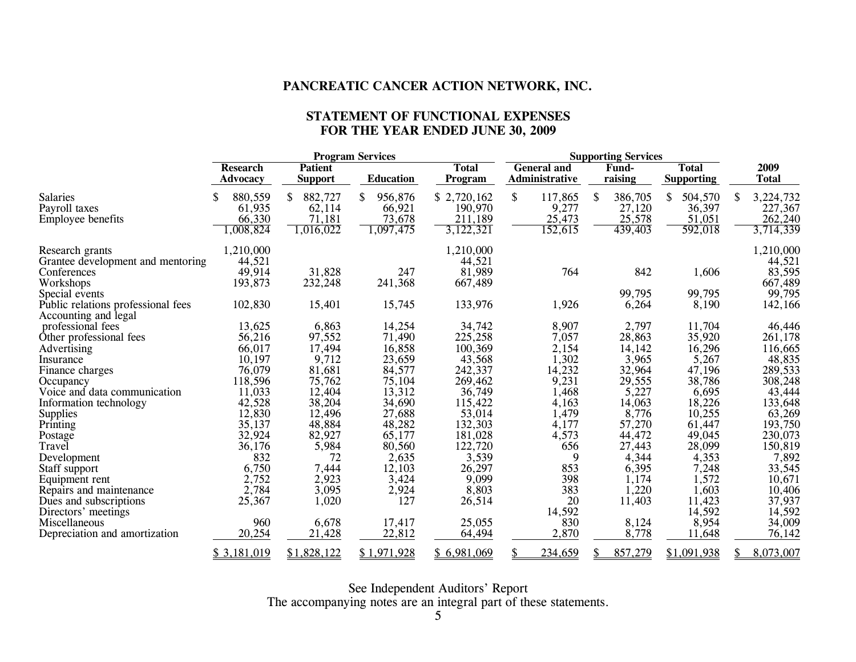#### **STATEMENT OF FUNCTIONAL EXPENSES FOR THE YEAR ENDED JUNE 30, 2009**

|                                                            |                                    | <b>Program Services</b>          |                  | <b>Supporting Services</b>     |                                      |                  |                                   |                      |
|------------------------------------------------------------|------------------------------------|----------------------------------|------------------|--------------------------------|--------------------------------------|------------------|-----------------------------------|----------------------|
|                                                            | <b>Research</b><br><b>Advocacy</b> | <b>Patient</b><br><b>Support</b> | <b>Education</b> | <b>Total</b><br><b>Program</b> | <b>General and</b><br>Administrative | Fund-<br>raising | <b>Total</b><br><b>Supporting</b> | 2009<br><b>Total</b> |
| <b>Salaries</b>                                            | 880,559<br>S                       | 882,727<br><sup>\$</sup>         | \$<br>956,876    | \$2,720,162                    | \$<br>117,865                        | \$<br>386,705    | \$<br>504,570                     | 3,224,732<br>\$.     |
| Payroll taxes                                              | 61,935                             | 62,114                           | 66,921           | 190,970                        | 9,277                                | 27,120           | 36,397                            | 227,367              |
| <b>Employee benefits</b>                                   | 66,330                             | 71,181                           | 73,678           | 211,189                        | 25,473                               | 25,578           | 51,051                            | 262,240              |
|                                                            | ,008,824                           | 1,016,022                        | 1,097,475        | 3,122,321                      | 152,615                              | 439,403          | 592,018                           | 3,714,339            |
| Research grants                                            | 1,210,000                          |                                  |                  | 1,210,000                      |                                      |                  |                                   | 1,210,000            |
| Grantee development and mentoring                          | 44,521                             |                                  |                  | 44,521                         |                                      |                  |                                   | 44,521               |
| Conferences                                                | 49,914                             | 31,828                           | 247              | 81,989                         | 764                                  | 842              | 1,606                             | 83,595               |
| Workshops                                                  | 193,873                            | 232,248                          | 241,368          | 667,489                        |                                      |                  |                                   | 667,489              |
| Special events                                             |                                    |                                  |                  |                                |                                      | 99,795           | 99,795                            | 99,795               |
| Public relations professional fees<br>Accounting and legal | 102,830                            | 15,401                           | 15,745           | 133,976                        | 1,926                                | 6,264            | 8,190                             | 142,166              |
| professional fees                                          | 13,625                             | 6,863                            | 14,254           | 34,742                         | 8,907                                | 2,797            | 11,704                            | 46,446               |
| Other professional fees                                    | 56,216                             | 97,552                           | 71,490           | 225,258                        | 7,057                                | 28,863           | 35,920                            | 261,178              |
| Advertising                                                | 66,017                             | 17,494                           | 16,858           | 100,369                        | 2,154                                | 14,142           | 16,296                            | 116,665              |
| Insurance                                                  | 10,197                             | 9,712                            | 23,659           | 43,568                         | 1,302                                | 3,965            | 5,267                             | 48,835               |
| Finance charges                                            | 76,079                             | 81,681                           | 84,577           | 242,337                        | 14,232                               | 32,964           | 47,196                            | 289,533              |
| Occupancy                                                  | 118,596                            | 75,762                           | 75,104           | 269,462                        | 9,231                                | 29,555           | 38,786                            | 308,248              |
| Voice and data communication                               | 11,033                             | 12,404                           | 13,312           | 36,749                         | 1,468                                | 5,227            | 6,695                             | 43,444               |
| Information technology                                     | 42,528                             | 38,204                           | 34,690           | 115,422                        | 4,163                                | 14,063           | 18,226                            | 133,648              |
| Supplies                                                   | 12,830                             | 12,496                           | 27,688           | 53,014                         | 1,479                                | 8,776            | 10,255                            | 63,269               |
| Printing                                                   | 35,137                             | 48,884                           | 48,282           | 132,303                        | 4,177                                | 57,270           | 61,447                            | 193,750              |
| Postage                                                    | 32,924                             | 82,927                           | 65,177           | 181,028                        | 4,573                                | 44,472           | 49,045                            | 230,073              |
| Travel                                                     | 36,176                             | 5,984                            | 80,560           | 122,720                        | 656                                  | 27,443           | 28,099                            | 150,819              |
| Development                                                | 832                                | 72                               | 2,635            | 3,539                          | 9                                    | 4,344            | 4,353                             | 7,892                |
| Staff support                                              | 6,750                              | 7,444                            | 12,103           | 26,297                         | 853                                  | 6,395            | 7,248                             | 33,545               |
| Equipment rent                                             | 2,752                              | 2,923                            | 3,424            | 9,099                          | 398                                  | 1,174            | 1,572                             | 10,671               |
| Repairs and maintenance                                    | 2,784                              | 3,095                            | 2,924            | 8,803                          | 383                                  | 1,220            | 1,603                             | 10,406               |
| Dues and subscriptions                                     | 25,367                             | 1,020                            | 127              | 26,514                         | 20                                   | 11,403           | 11,423                            | 37,937               |
| Directors' meetings                                        |                                    |                                  |                  |                                | 14,592                               |                  | 14,592                            | 14,592               |
| Miscellaneous                                              | 960                                | 6,678                            | 17,417           | 25,055                         | 830                                  | 8,124            | 8,954                             | 34,009               |
| Depreciation and amortization                              | 20,254                             | 21,428                           | 22,812           | 64,494                         | 2,870                                | 8,778            | 11,648                            | 76,142               |
|                                                            | \$3,181,019                        | \$1,828,122                      | \$1,971,928      | \$6,981,069                    | \$<br>234,659                        | 857,279          | \$1,091,938                       | 8,073,007            |

See Independent Auditors' Report

The accompanying notes are an integral part of these statements.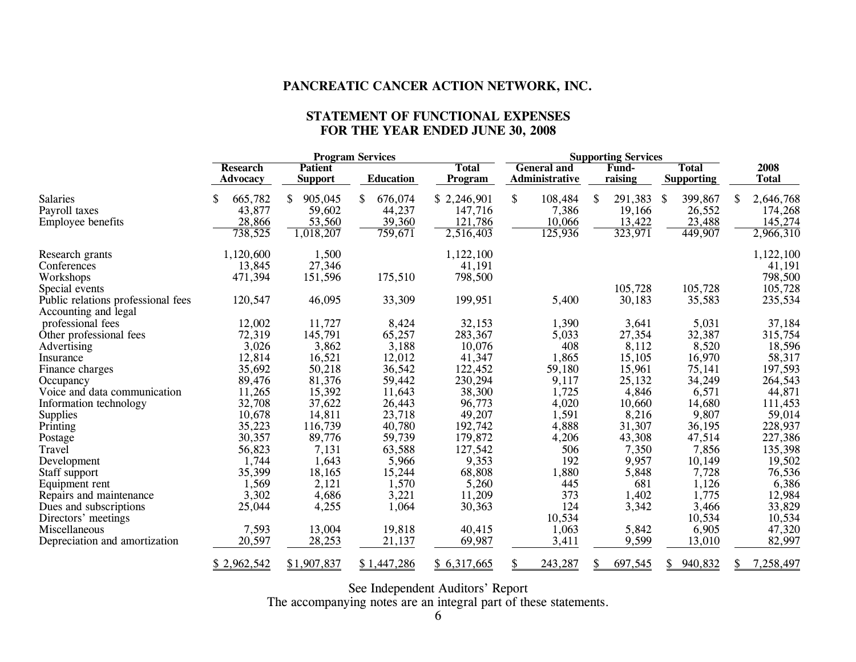#### **STATEMENT OF FUNCTIONAL EXPENSES FOR THE YEAR ENDED JUNE 30, 2008**

|                                                            |                 |                | <b>Program Services</b> |              |                    | <b>Supporting Services</b> |                   |                  |
|------------------------------------------------------------|-----------------|----------------|-------------------------|--------------|--------------------|----------------------------|-------------------|------------------|
|                                                            | <b>Research</b> | <b>Patient</b> |                         | <b>Total</b> | <b>General and</b> | <b>Fund-</b>               | <b>Total</b>      | 2008             |
|                                                            | <b>Advocacy</b> | <b>Support</b> | <b>Education</b>        | Program      | Administrative     | raising                    | <b>Supporting</b> | <b>Total</b>     |
| <b>Salaries</b>                                            | 665,782<br>\$   | \$<br>905,045  | \$<br>676,074           | \$2,246,901  | \$<br>108,484      | \$<br>291,383              | \$<br>399,867     | 2,646,768<br>\$. |
| Payroll taxes                                              | 43,877          | 59,602         | 44,237                  | 147,716      | 7,386              | 19,166                     | 26,552            | 174,268          |
| <b>Employee benefits</b>                                   | 28,866          | 53,560         | 39,360                  | 121,786      | 10,066             | 13,422                     | 23,488            | 145,274          |
|                                                            | 738,525         | 1,018,207      | 759,671                 | 2,516,403    | 125,936            | 323,971                    | 449,907           | 2,966,310        |
| Research grants                                            | 1,120,600       | 1,500          |                         | 1,122,100    |                    |                            |                   | 1,122,100        |
| Conferences                                                | 13,845          | 27,346         |                         | 41,191       |                    |                            |                   | 41,191           |
| Workshops                                                  | 471,394         | 151,596        | 175,510                 | 798,500      |                    |                            |                   | 798,500          |
| Special events                                             |                 |                |                         |              |                    | 105,728                    | 105,728           | 105,728          |
| Public relations professional fees<br>Accounting and legal | 120,547         | 46,095         | 33,309                  | 199,951      | 5,400              | 30,183                     | 35,583            | 235,534          |
| professional fees                                          | 12,002          | 11,727         | 8,424                   | 32,153       | 1,390              | 3,641                      | 5,031             | 37,184           |
| Other professional fees                                    | 72,319          | 145,791        | 65,257                  | 283,367      | 5,033              | 27,354                     | 32,387            | 315,754          |
| Advertising                                                | 3,026           | 3,862          | 3,188                   | 10,076       | 408                | 8,112                      | 8,520             | 18,596           |
| Insurance                                                  | 12,814          | 16,521         | 12,012                  | 41,347       | 1,865              | 15,105                     | 16,970            | 58,317           |
| Finance charges                                            | 35,692          | 50,218         | 36,542                  | 122,452      | 59,180             | 15,961                     | 75,141            | 197,593          |
| Occupancy                                                  | 89,476          | 81,376         | 59,442                  | 230,294      | 9,117              | 25,132                     | 34,249            | 264,543          |
| Voice and data communication                               | 11,265          | 15,392         | 11,643                  | 38,300       | 1,725              | 4,846                      | 6,571             | 44,871           |
| Information technology                                     | 32,708          | 37,622         | 26,443                  | 96,773       | 4,020              | 10,660                     | 14,680            | 111,453          |
| <b>Supplies</b>                                            | 10,678          | 14,811         | 23,718                  | 49,207       | 1,591              | 8,216                      | 9,807             | 59,014           |
| Printing                                                   | 35,223          | 116,739        | 40,780                  | 192,742      | 4,888              | 31,307                     | 36,195            | 228,937          |
| Postage                                                    | 30,357          | 89,776         | 59,739                  | 179,872      | 4,206              | 43,308                     | 47,514            | 227,386          |
| Travel                                                     | 56,823          | 7,131          | 63,588                  | 127,542      | 506                | 7,350                      | 7,856             | 135,398          |
| Development                                                | 1,744           | 1,643          | 5,966                   | 9,353        | 192                | 9,957                      | 10,149            | 19,502           |
| Staff support                                              | 35,399          | 18,165         | 15,244                  | 68,808       | 1,880              | 5,848                      | 7,728             | 76,536           |
| Equipment rent                                             | 1,569           | 2,121          | 1,570                   | 5,260        | 445                | 681                        | 1,126             | 6,386            |
| Repairs and maintenance                                    | 3,302           | 4,686          | 3,221                   | 11,209       | 373                | 1,402                      | 1,775             | 12,984           |
| Dues and subscriptions                                     | 25,044          | 4,255          | 1,064                   | 30,363       | 124                | 3,342                      | 3,466             | 33,829           |
| Directors' meetings                                        |                 |                |                         |              | 10,534             |                            | 10,534            | 10,534           |
| Miscellaneous                                              | 7,593           | 13,004         | 19,818                  | 40,415       | 1,063              | 5,842                      | 6,905             | 47,320           |
| Depreciation and amortization                              | 20,597          | 28,253         | 21,137                  | 69,987       | 3,411              | 9,599                      | 13,010            | 82,997           |
|                                                            | \$2,962,542     | \$1,907,837    | \$1,447,286             | \$6,317,665  | 243,287            | 697,545                    | 940,832<br>\$.    | 7,258,497        |

See Independent Auditors' Report

The accompanying notes are an integral part of these statements.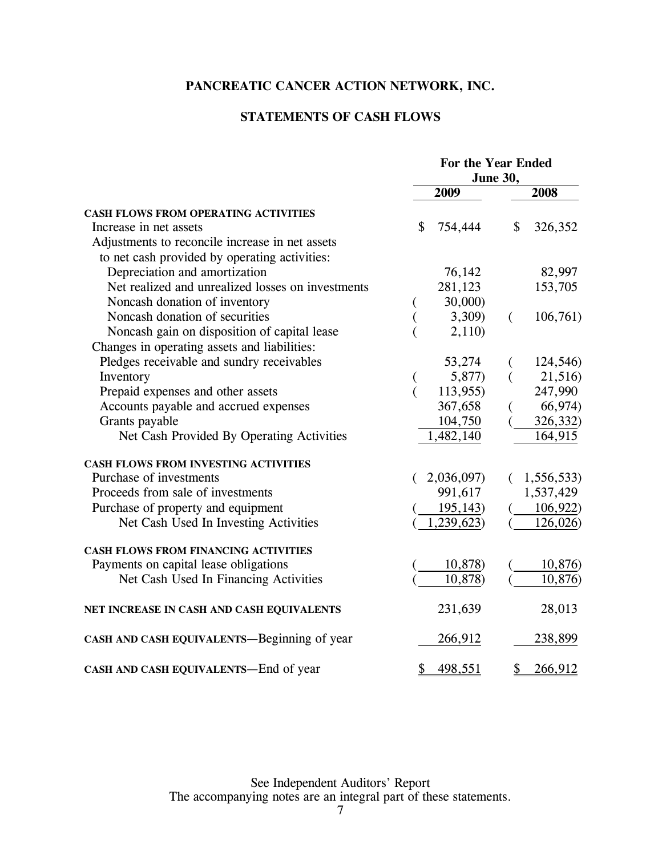### **STATEMENTS OF CASH FLOWS**

|                                                   | For the Year Ended |            |          |            |
|---------------------------------------------------|--------------------|------------|----------|------------|
|                                                   | June 30,           |            |          |            |
|                                                   |                    | 2009       |          | 2008       |
| <b>CASH FLOWS FROM OPERATING ACTIVITIES</b>       |                    |            |          |            |
| Increase in net assets                            | \$                 | 754,444    | \$       | 326,352    |
| Adjustments to reconcile increase in net assets   |                    |            |          |            |
| to net cash provided by operating activities:     |                    |            |          |            |
| Depreciation and amortization                     |                    | 76,142     |          | 82,997     |
| Net realized and unrealized losses on investments |                    | 281,123    |          | 153,705    |
| Noncash donation of inventory                     |                    | 30,000     |          |            |
| Noncash donation of securities                    |                    | 3,309)     | $\left($ | 106,761    |
| Noncash gain on disposition of capital lease      |                    | 2,110)     |          |            |
| Changes in operating assets and liabilities:      |                    |            |          |            |
| Pledges receivable and sundry receivables         |                    | 53,274     |          | 124,546)   |
| Inventory                                         | €                  | 5,877)     |          | 21,516)    |
| Prepaid expenses and other assets                 | $\overline{(\ }$   | 113,955)   |          | 247,990    |
| Accounts payable and accrued expenses             |                    | 367,658    |          | 66,974)    |
| Grants payable                                    |                    | 104,750    |          | 326,332)   |
| Net Cash Provided By Operating Activities         |                    | 1,482,140  |          | 164,915    |
| CASH FLOWS FROM INVESTING ACTIVITIES              |                    |            |          |            |
| Purchase of investments                           |                    | 2,036,097) | €        | 1,556,533) |
| Proceeds from sale of investments                 |                    | 991,617    |          | 1,537,429  |
| Purchase of property and equipment                |                    | 195,143)   |          | 106,922    |
| Net Cash Used In Investing Activities             |                    | 1,239,623) |          | 126,026)   |
| CASH FLOWS FROM FINANCING ACTIVITIES              |                    |            |          |            |
| Payments on capital lease obligations             |                    | 10,878)    |          | 10,876)    |
| Net Cash Used In Financing Activities             |                    | 10,878)    |          | 10,876)    |
| NET INCREASE IN CASH AND CASH EQUIVALENTS         |                    | 231,639    |          | 28,013     |
| CASH AND CASH EQUIVALENTS-Beginning of year       |                    | 266,912    |          | 238,899    |
| CASH AND CASH EQUIVALENTS-End of year             | \$                 | 498,551    | \$       | 266,912    |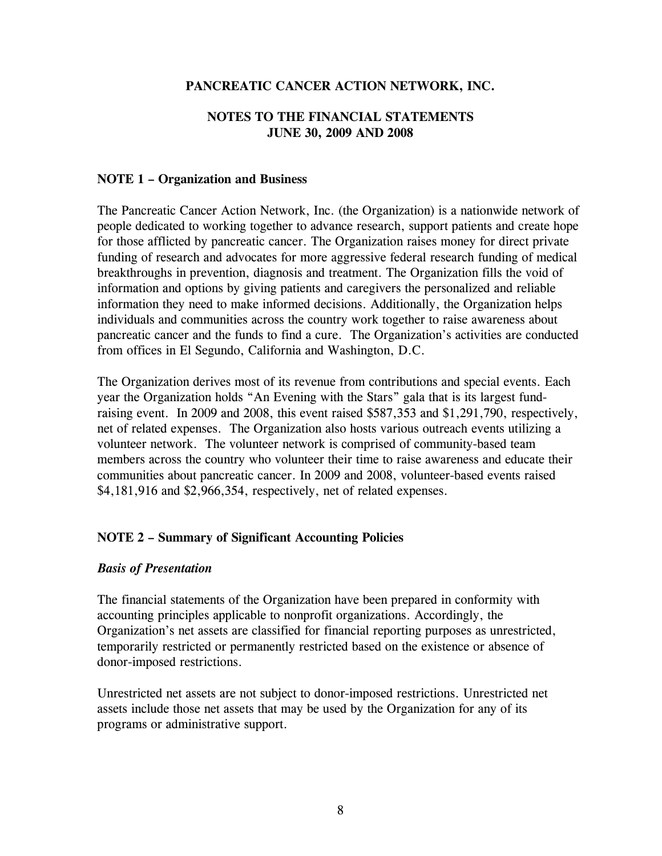### **NOTES TO THE FINANCIAL STATEMENTS JUNE 30, 2009 AND 2008**

### **NOTE 1 – Organization and Business**

The Pancreatic Cancer Action Network, Inc. (the Organization) is a nationwide network of people dedicated to working together to advance research, support patients and create hope for those afflicted by pancreatic cancer. The Organization raises money for direct private funding of research and advocates for more aggressive federal research funding of medical breakthroughs in prevention, diagnosis and treatment. The Organization fills the void of information and options by giving patients and caregivers the personalized and reliable information they need to make informed decisions. Additionally, the Organization helps individuals and communities across the country work together to raise awareness about pancreatic cancer and the funds to find a cure. The Organization's activities are conducted from offices in El Segundo, California and Washington, D.C.

The Organization derives most of its revenue from contributions and special events. Each year the Organization holds "An Evening with the Stars" gala that is its largest fundraising event. In 2009 and 2008, this event raised \$587,353 and \$1,291,790, respectively, net of related expenses. The Organization also hosts various outreach events utilizing a volunteer network. The volunteer network is comprised of community-based team members across the country who volunteer their time to raise awareness and educate their communities about pancreatic cancer. In 2009 and 2008, volunteer-based events raised \$4,181,916 and \$2,966,354, respectively, net of related expenses.

### **NOTE 2 – Summary of Significant Accounting Policies**

#### *Basis of Presentation*

The financial statements of the Organization have been prepared in conformity with accounting principles applicable to nonprofit organizations. Accordingly, the Organization's net assets are classified for financial reporting purposes as unrestricted, temporarily restricted or permanently restricted based on the existence or absence of donor-imposed restrictions.

Unrestricted net assets are not subject to donor-imposed restrictions. Unrestricted net assets include those net assets that may be used by the Organization for any of its programs or administrative support.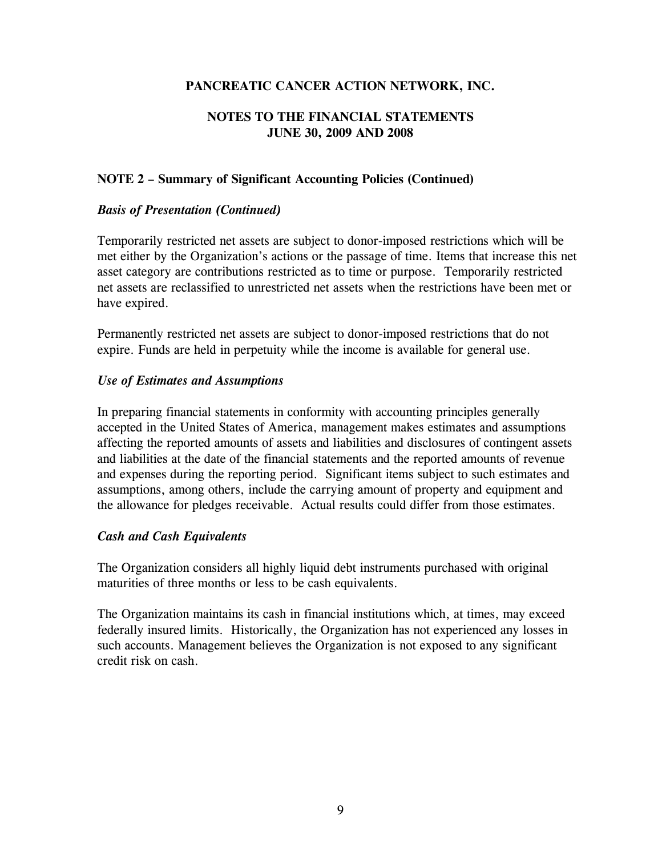### **NOTES TO THE FINANCIAL STATEMENTS JUNE 30, 2009 AND 2008**

### **NOTE 2 – Summary of Significant Accounting Policies (Continued)**

### *Basis of Presentation (Continued)*

Temporarily restricted net assets are subject to donor-imposed restrictions which will be met either by the Organization's actions or the passage of time. Items that increase this net asset category are contributions restricted as to time or purpose. Temporarily restricted net assets are reclassified to unrestricted net assets when the restrictions have been met or have expired.

Permanently restricted net assets are subject to donor-imposed restrictions that do not expire. Funds are held in perpetuity while the income is available for general use.

### *Use of Estimates and Assumptions*

In preparing financial statements in conformity with accounting principles generally accepted in the United States of America, management makes estimates and assumptions affecting the reported amounts of assets and liabilities and disclosures of contingent assets and liabilities at the date of the financial statements and the reported amounts of revenue and expenses during the reporting period. Significant items subject to such estimates and assumptions, among others, include the carrying amount of property and equipment and the allowance for pledges receivable. Actual results could differ from those estimates.

### *Cash and Cash Equivalents*

The Organization considers all highly liquid debt instruments purchased with original maturities of three months or less to be cash equivalents.

The Organization maintains its cash in financial institutions which, at times, may exceed federally insured limits. Historically, the Organization has not experienced any losses in such accounts. Management believes the Organization is not exposed to any significant credit risk on cash.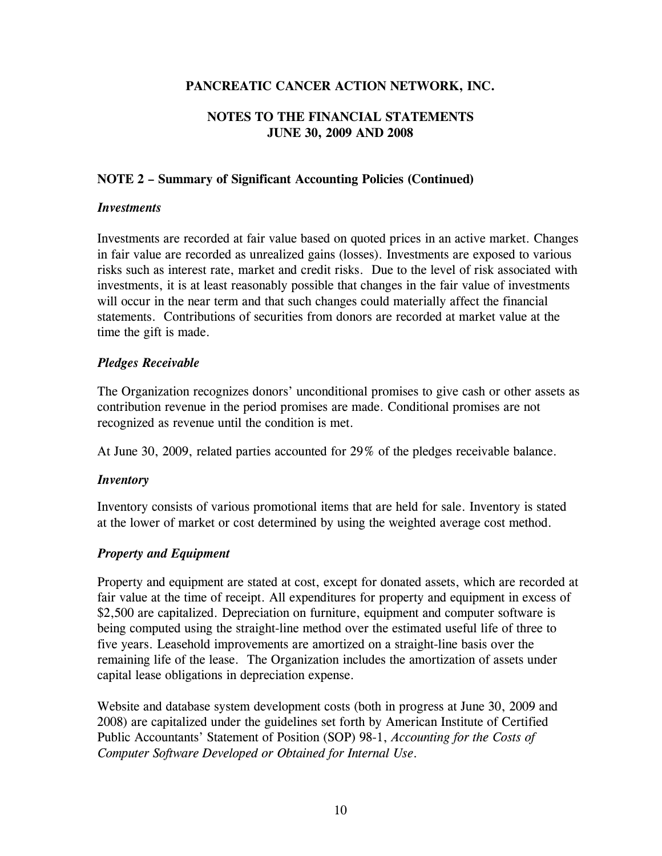### **NOTES TO THE FINANCIAL STATEMENTS JUNE 30, 2009 AND 2008**

### **NOTE 2 – Summary of Significant Accounting Policies (Continued)**

### *Investments*

Investments are recorded at fair value based on quoted prices in an active market. Changes in fair value are recorded as unrealized gains (losses). Investments are exposed to various risks such as interest rate, market and credit risks. Due to the level of risk associated with investments, it is at least reasonably possible that changes in the fair value of investments will occur in the near term and that such changes could materially affect the financial statements. Contributions of securities from donors are recorded at market value at the time the gift is made.

### *Pledges Receivable*

The Organization recognizes donors' unconditional promises to give cash or other assets as contribution revenue in the period promises are made. Conditional promises are not recognized as revenue until the condition is met.

At June 30, 2009, related parties accounted for 29% of the pledges receivable balance.

### *Inventory*

Inventory consists of various promotional items that are held for sale. Inventory is stated at the lower of market or cost determined by using the weighted average cost method.

### *Property and Equipment*

Property and equipment are stated at cost, except for donated assets, which are recorded at fair value at the time of receipt. All expenditures for property and equipment in excess of \$2,500 are capitalized. Depreciation on furniture, equipment and computer software is being computed using the straight-line method over the estimated useful life of three to five years. Leasehold improvements are amortized on a straight-line basis over the remaining life of the lease. The Organization includes the amortization of assets under capital lease obligations in depreciation expense.

Website and database system development costs (both in progress at June 30, 2009 and 2008) are capitalized under the guidelines set forth by American Institute of Certified Public Accountants' Statement of Position (SOP) 98-1, *Accounting for the Costs of Computer Software Developed or Obtained for Internal Use*.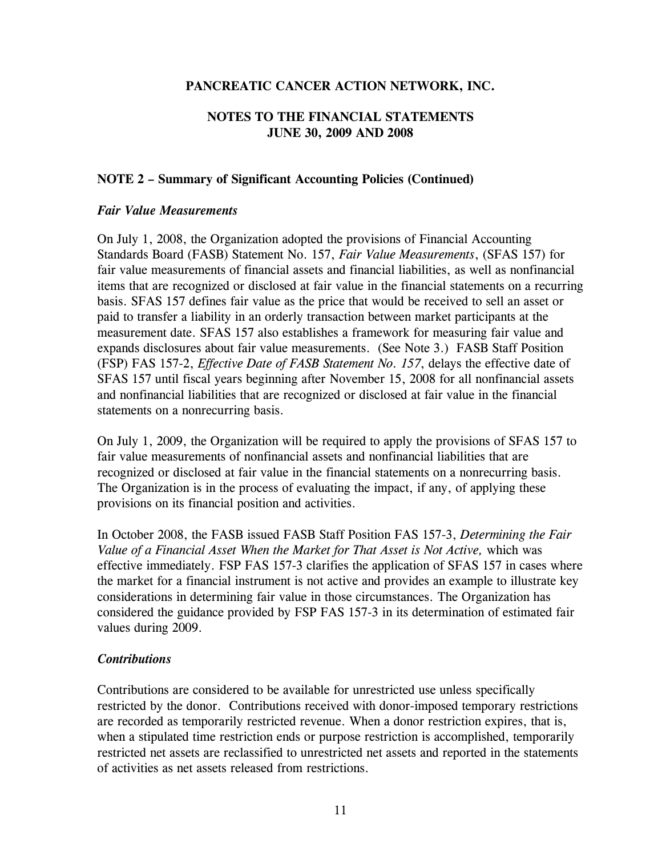### **NOTES TO THE FINANCIAL STATEMENTS JUNE 30, 2009 AND 2008**

### **NOTE 2 – Summary of Significant Accounting Policies (Continued)**

#### *Fair Value Measurements*

On July 1, 2008, the Organization adopted the provisions of Financial Accounting Standards Board (FASB) Statement No. 157, *Fair Value Measurements*, (SFAS 157) for fair value measurements of financial assets and financial liabilities, as well as nonfinancial items that are recognized or disclosed at fair value in the financial statements on a recurring basis. SFAS 157 defines fair value as the price that would be received to sell an asset or paid to transfer a liability in an orderly transaction between market participants at the measurement date. SFAS 157 also establishes a framework for measuring fair value and expands disclosures about fair value measurements. (See Note 3.) FASB Staff Position (FSP) FAS 157-2, *Effective Date of FASB Statement No. 157*, delays the effective date of SFAS 157 until fiscal years beginning after November 15, 2008 for all nonfinancial assets and nonfinancial liabilities that are recognized or disclosed at fair value in the financial statements on a nonrecurring basis.

On July 1, 2009, the Organization will be required to apply the provisions of SFAS 157 to fair value measurements of nonfinancial assets and nonfinancial liabilities that are recognized or disclosed at fair value in the financial statements on a nonrecurring basis. The Organization is in the process of evaluating the impact, if any, of applying these provisions on its financial position and activities.

In October 2008, the FASB issued FASB Staff Position FAS 157-3, *Determining the Fair Value of a Financial Asset When the Market for That Asset is Not Active,* which was effective immediately. FSP FAS 157-3 clarifies the application of SFAS 157 in cases where the market for a financial instrument is not active and provides an example to illustrate key considerations in determining fair value in those circumstances. The Organization has considered the guidance provided by FSP FAS 157-3 in its determination of estimated fair values during 2009.

#### *Contributions*

Contributions are considered to be available for unrestricted use unless specifically restricted by the donor. Contributions received with donor-imposed temporary restrictions are recorded as temporarily restricted revenue. When a donor restriction expires, that is, when a stipulated time restriction ends or purpose restriction is accomplished, temporarily restricted net assets are reclassified to unrestricted net assets and reported in the statements of activities as net assets released from restrictions.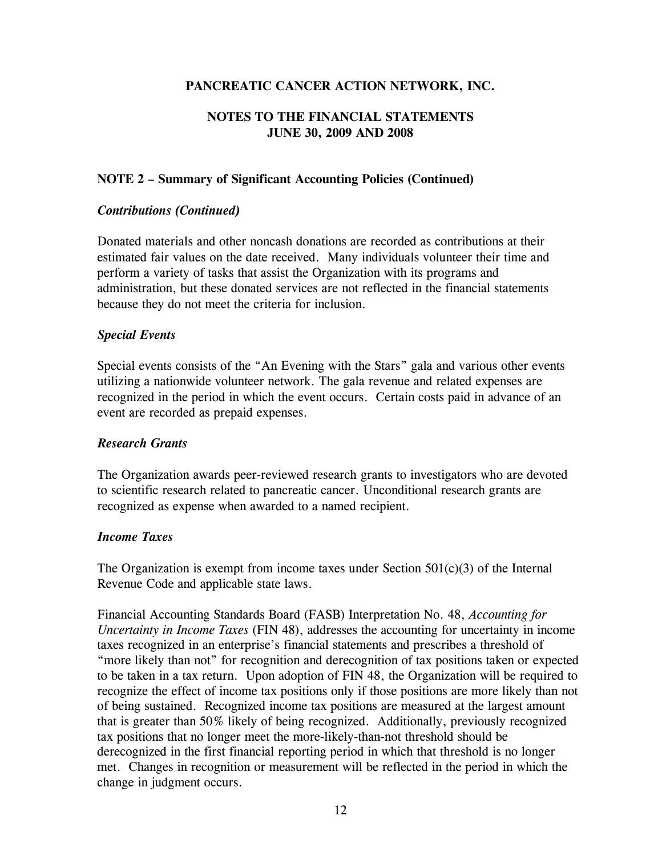### **NOTES TO THE FINANCIAL STATEMENTS JUNE 30, 2009 AND 2008**

### **NOTE 2 – Summary of Significant Accounting Policies (Continued)**

### *Contributions (Continued)*

Donated materials and other noncash donations are recorded as contributions at their estimated fair values on the date received. Many individuals volunteer their time and perform a variety of tasks that assist the Organization with its programs and administration, but these donated services are not reflected in the financial statements because they do not meet the criteria for inclusion.

### *Special Events*

Special events consists of the "An Evening with the Stars" gala and various other events utilizing a nationwide volunteer network. The gala revenue and related expenses are recognized in the period in which the event occurs. Certain costs paid in advance of an event are recorded as prepaid expenses.

#### *Research Grants*

The Organization awards peer-reviewed research grants to investigators who are devoted to scientific research related to pancreatic cancer. Unconditional research grants are recognized as expense when awarded to a named recipient.

### *Income Taxes*

The Organization is exempt from income taxes under Section  $501(c)(3)$  of the Internal Revenue Code and applicable state laws.

Financial Accounting Standards Board (FASB) Interpretation No. 48, *Accounting for Uncertainty in Income Taxes* (FIN 48), addresses the accounting for uncertainty in income taxes recognized in an enterprise's financial statements and prescribes a threshold of "more likely than not" for recognition and derecognition of tax positions taken or expected to be taken in a tax return. Upon adoption of FIN 48, the Organization will be required to recognize the effect of income tax positions only if those positions are more likely than not of being sustained. Recognized income tax positions are measured at the largest amount that is greater than 50% likely of being recognized. Additionally, previously recognized tax positions that no longer meet the more-likely-than-not threshold should be derecognized in the first financial reporting period in which that threshold is no longer met. Changes in recognition or measurement will be reflected in the period in which the change in judgment occurs.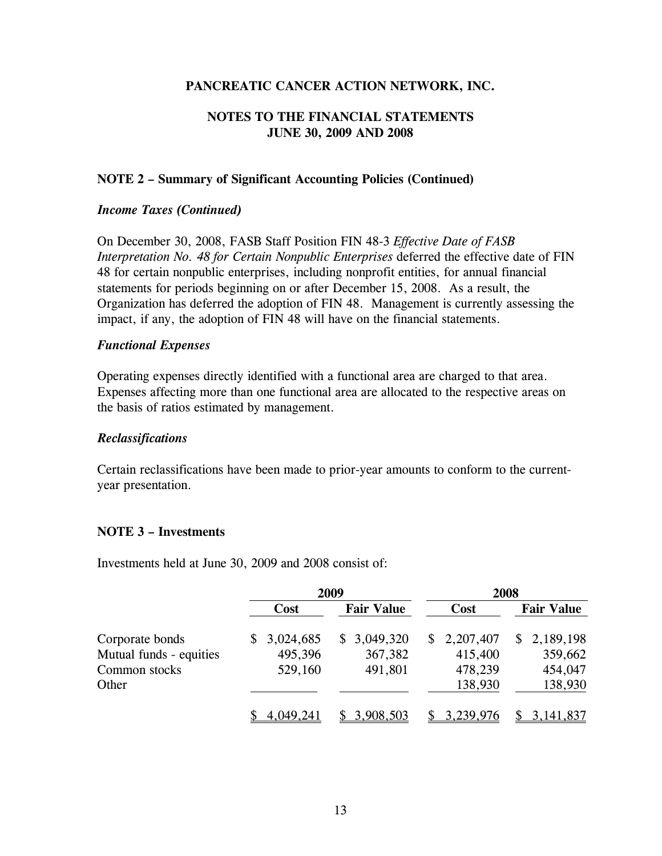### **NOTES TO THE FINANCIAL STATEMENTS JUNE 30, 2009 AND 2008**

### **NOTE 2 – Summary of Significant Accounting Policies (Continued)**

#### *Income Taxes (Continued)*

On December 30, 2008, FASB Staff Position FIN 48-3 *Effective Date of FASB Interpretation No. 48 for Certain Nonpublic Enterprises* deferred the effective date of FIN 48 for certain nonpublic enterprises, including nonprofit entities, for annual financial statements for periods beginning on or after December 15, 2008. As a result, the Organization has deferred the adoption of FIN 48. Management is currently assessing the impact, if any, the adoption of FIN 48 will have on the financial statements.

#### *Functional Expenses*

Operating expenses directly identified with a functional area are charged to that area. Expenses affecting more than one functional area are allocated to the respective areas on the basis of ratios estimated by management.

#### *Reclassifications*

Certain reclassifications have been made to prior-year amounts to conform to the currentyear presentation.

#### **NOTE 3 – Investments**

Investments held at June 30, 2009 and 2008 consist of:

|                         | 2009        |                   | 2008        |                   |  |
|-------------------------|-------------|-------------------|-------------|-------------------|--|
|                         | Cost        | <b>Fair Value</b> | Cost        | <b>Fair Value</b> |  |
| Corporate bonds         | \$3,024,685 | \$3,049,320       | \$2,207,407 | \$2,189,198       |  |
| Mutual funds - equities | 495,396     | 367,382           | 415,400     | 359,662           |  |
| Common stocks           | 529,160     | 491,801           | 478,239     | 454,047           |  |
| Other                   |             |                   | 138,930     | 138,930           |  |
|                         | 4,049,241   | 3,908,503         | 3,239,976   | 3, 141, 837       |  |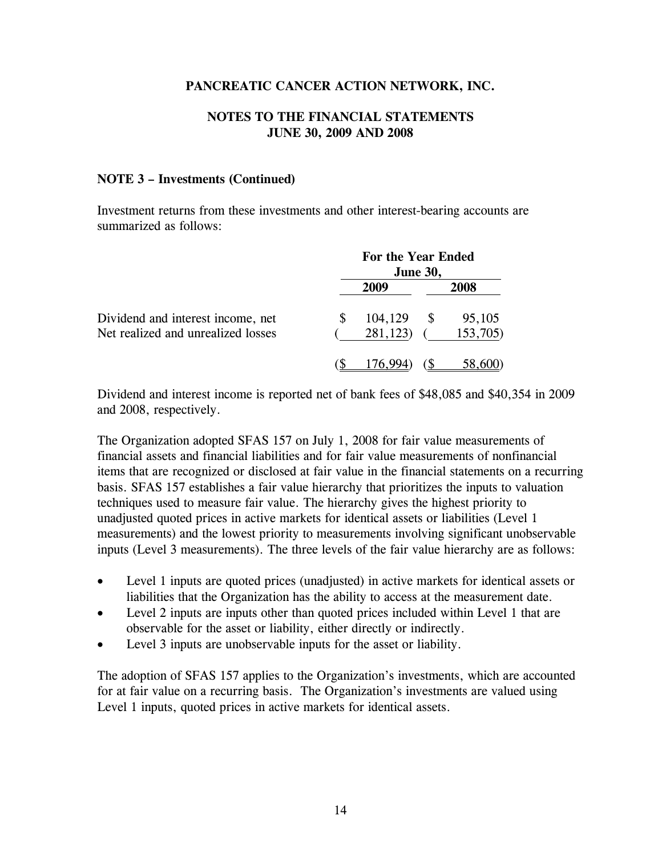### **NOTES TO THE FINANCIAL STATEMENTS JUNE 30, 2009 AND 2008**

#### **NOTE 3 – Investments (Continued)**

Investment returns from these investments and other interest-bearing accounts are summarized as follows:

|                                                                         | For the Year Ended<br><b>June 30,</b> |                     |     |                    |  |
|-------------------------------------------------------------------------|---------------------------------------|---------------------|-----|--------------------|--|
|                                                                         |                                       | 2009                |     | 2008               |  |
| Dividend and interest income, net<br>Net realized and unrealized losses |                                       | 104,129<br>281,123) | \$. | 95,105<br>153,705) |  |
|                                                                         |                                       |                     |     | 58,600             |  |

Dividend and interest income is reported net of bank fees of \$48,085 and \$40,354 in 2009 and 2008, respectively.

The Organization adopted SFAS 157 on July 1, 2008 for fair value measurements of financial assets and financial liabilities and for fair value measurements of nonfinancial items that are recognized or disclosed at fair value in the financial statements on a recurring basis. SFAS 157 establishes a fair value hierarchy that prioritizes the inputs to valuation techniques used to measure fair value. The hierarchy gives the highest priority to unadjusted quoted prices in active markets for identical assets or liabilities (Level 1 measurements) and the lowest priority to measurements involving significant unobservable inputs (Level 3 measurements). The three levels of the fair value hierarchy are as follows:

- Level 1 inputs are quoted prices (unadjusted) in active markets for identical assets or liabilities that the Organization has the ability to access at the measurement date.
- Level 2 inputs are inputs other than quoted prices included within Level 1 that are observable for the asset or liability, either directly or indirectly.
- Level 3 inputs are unobservable inputs for the asset or liability.

The adoption of SFAS 157 applies to the Organization's investments, which are accounted for at fair value on a recurring basis. The Organization's investments are valued using Level 1 inputs, quoted prices in active markets for identical assets.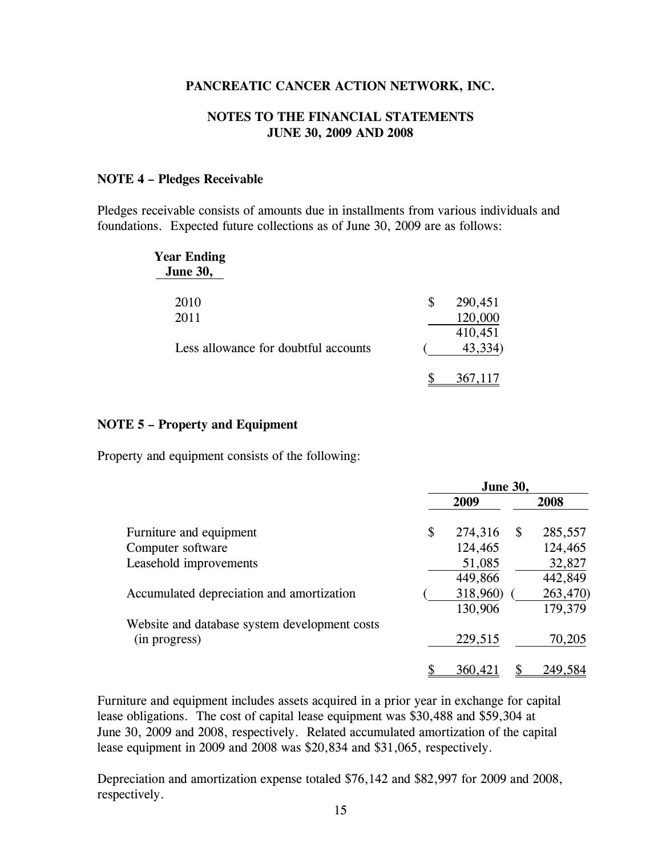#### **NOTES TO THE FINANCIAL STATEMENTS JUNE 30, 2009 AND 2008**

#### **NOTE 4 – Pledges Receivable**

Pledges receivable consists of amounts due in installments from various individuals and foundations. Expected future collections as of June 30, 2009 are as follows:

| <b>Year Ending</b><br><b>June 30,</b> |               |
|---------------------------------------|---------------|
| 2010                                  | \$<br>290,451 |
| 2011                                  | 120,000       |
|                                       | 410,451       |
| Less allowance for doubtful accounts  | 43,334)       |
|                                       |               |
|                                       |               |

#### **NOTE 5 – Property and Equipment**

Property and equipment consists of the following:

|                                               | <b>June 30,</b> |          |              |          |
|-----------------------------------------------|-----------------|----------|--------------|----------|
|                                               |                 | 2009     |              | 2008     |
| Furniture and equipment                       | \$              | 274,316  | $\mathbb{S}$ | 285,557  |
| Computer software                             |                 | 124,465  |              | 124,465  |
| Leasehold improvements                        |                 | 51,085   |              | 32,827   |
|                                               |                 | 449,866  |              | 442,849  |
| Accumulated depreciation and amortization     |                 | 318,960) |              | 263,470) |
|                                               |                 | 130,906  |              | 179,379  |
| Website and database system development costs |                 |          |              |          |
| (in progress)                                 |                 | 229,515  |              | 70,205   |
|                                               |                 | 360,421  |              | 249,584  |

Furniture and equipment includes assets acquired in a prior year in exchange for capital lease obligations. The cost of capital lease equipment was \$30,488 and \$59,304 at June 30, 2009 and 2008, respectively. Related accumulated amortization of the capital lease equipment in 2009 and 2008 was \$20,834 and \$31,065, respectively.

Depreciation and amortization expense totaled \$76,142 and \$82,997 for 2009 and 2008, respectively.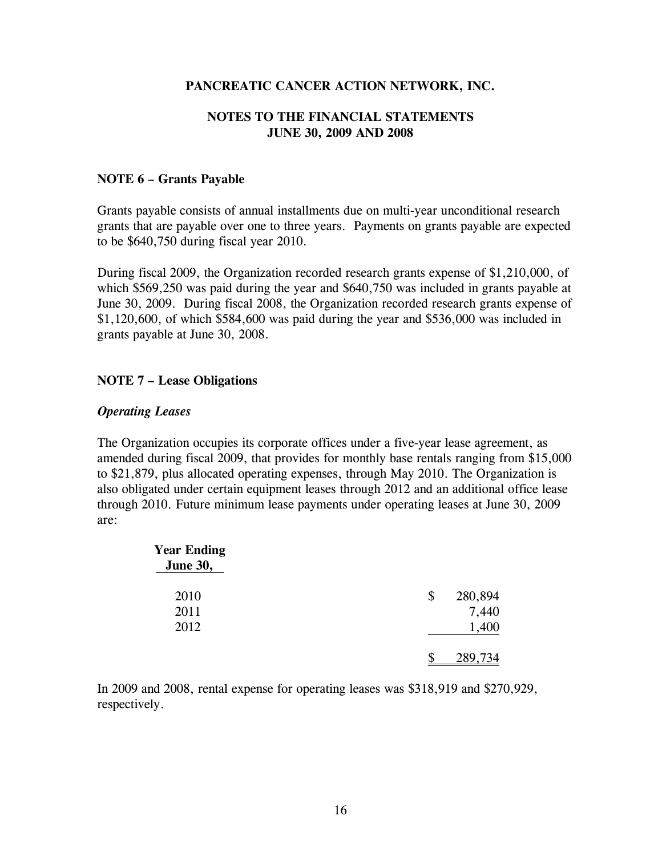### **NOTES TO THE FINANCIAL STATEMENTS JUNE 30, 2009 AND 2008**

### **NOTE 6 – Grants Payable**

Grants payable consists of annual installments due on multi-year unconditional research grants that are payable over one to three years. Payments on grants payable are expected to be \$640,750 during fiscal year 2010.

During fiscal 2009, the Organization recorded research grants expense of \$1,210,000, of which \$569,250 was paid during the year and \$640,750 was included in grants payable at June 30, 2009. During fiscal 2008, the Organization recorded research grants expense of \$1,120,600, of which \$584,600 was paid during the year and \$536,000 was included in grants payable at June 30, 2008.

### **NOTE 7 – Lease Obligations**

### *Operating Leases*

The Organization occupies its corporate offices under a five-year lease agreement, as amended during fiscal 2009, that provides for monthly base rentals ranging from \$15,000 to \$21,879, plus allocated operating expenses, through May 2010. The Organization is also obligated under certain equipment leases through 2012 and an additional office lease through 2010. Future minimum lease payments under operating leases at June 30, 2009 are:

| <b>Year Ending</b><br><b>June 30,</b> |               |
|---------------------------------------|---------------|
| 2010                                  | \$<br>280,894 |
| 2011                                  | 7,440         |
| 2012                                  | 1,400         |
|                                       | 289,734       |

In 2009 and 2008, rental expense for operating leases was \$318,919 and \$270,929, respectively.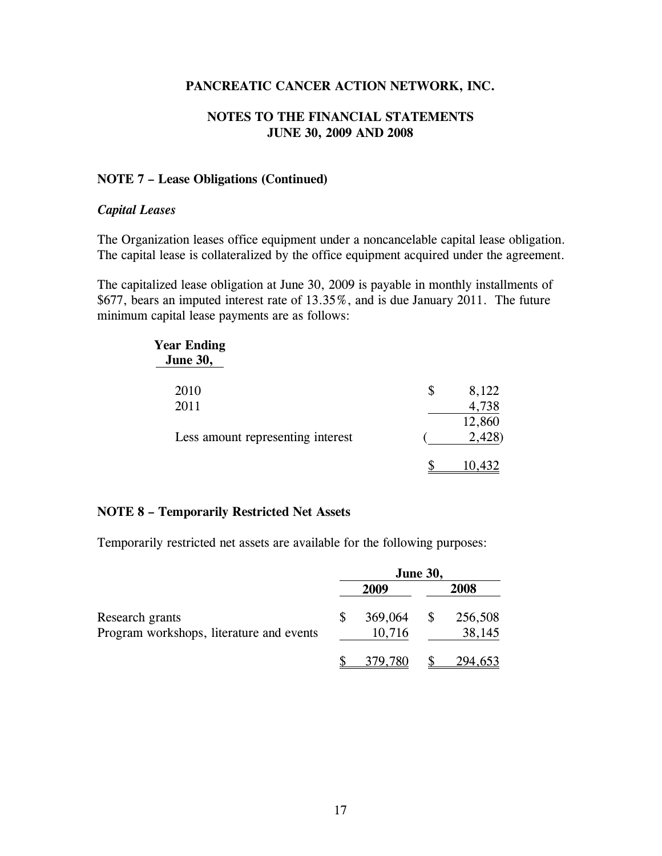#### **NOTES TO THE FINANCIAL STATEMENTS JUNE 30, 2009 AND 2008**

#### **NOTE 7 – Lease Obligations (Continued)**

#### *Capital Leases*

The Organization leases office equipment under a noncancelable capital lease obligation. The capital lease is collateralized by the office equipment acquired under the agreement.

The capitalized lease obligation at June 30, 2009 is payable in monthly installments of \$677, bears an imputed interest rate of 13.35%, and is due January 2011. The future minimum capital lease payments are as follows:

| <b>Year Ending</b><br><b>June 30,</b> |             |
|---------------------------------------|-------------|
| 2010                                  | \$<br>8,122 |
| 2011                                  | 4,738       |
|                                       | 12,860      |
| Less amount representing interest     | 2,428)      |
|                                       | 10,432      |

#### **NOTE 8 – Temporarily Restricted Net Assets**

Temporarily restricted net assets are available for the following purposes:

|                                          |         | <b>June 30,</b> |         |
|------------------------------------------|---------|-----------------|---------|
|                                          | 2009    |                 | 2008    |
| Research grants                          | 369,064 | \$              | 256,508 |
| Program workshops, literature and events | 10,716  |                 | 38,145  |
|                                          | 379,780 |                 | 294,653 |